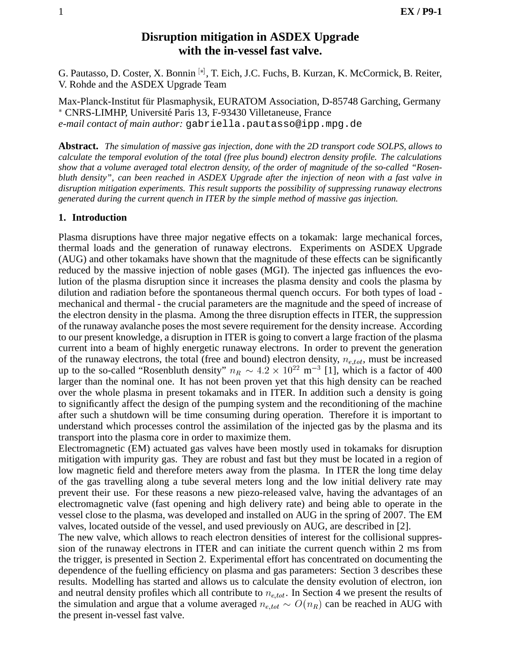# **Disruption mitigation in ASDEX Upgrade with the in-vessel fast valve.**

G. Pautasso, D. Coster, X. Bonnin [\*], T. Eich, J.C. Fuchs, B. Kurzan, K. McCormick, B. Reiter, V. Rohde and the ASDEX Upgrade Team

Max-Planck-Institut für Plasmaphysik, EURATOM Association, D-85748 Garching, Germany \* CNRS-LIMHP, Université Paris 13, F-93430 Villetaneuse, France *e-mail contact of main author:* gabriella.pautasso@ipp.mpg.de

**Abstract.** *The simulation of massive gas injection, done with the 2D transport code SOLPS, allows to calculate the temporal evolution of the total (free plus bound) electron density profile. The calculations show that a volume averaged total electron density, of the order of magnitude of the so-called "Rosenbluth density", can been reached in ASDEX Upgrade after the injection of neon with a fast valve in disruption mitigation experiments. This result supports the possibility of suppressing runaway electrons generated during the current quench in ITER by the simple method of massive gas injection.*

## **1. Introduction**

Plasma disruptions have three major negative effects on a tokamak: large mechanical forces, thermal loads and the generation of runaway electrons. Experiments on ASDEX Upgrade (AUG) and other tokamaks have shown that the magnitude of these effects can be significantly reduced by the massive injection of noble gases (MGI). The injected gas influences the evolution of the plasma disruption since it increases the plasma density and cools the plasma by dilution and radiation before the spontaneous thermal quench occurs. For both types of load mechanical and thermal - the crucial parameters are the magnitude and the speed of increase of the electron density in the plasma. Among the three disruption effects in ITER, the suppression of the runaway avalanche poses the most severe requirement for the density increase. According to our present knowledge, a disruption in ITER is going to convert a large fraction of the plasma current into a beam of highly energetic runaway electrons. In order to prevent the generation of the runaway electrons, the total (free and bound) electron density,  $n_{e,tot}$ , must be increased up to the so-called "Rosenbluth density"  $n_R \sim 4.2 \times 10^{22}$  m<sup>-3</sup> [1], which is a factor of 400 larger than the nominal one. It has not been proven yet that this high density can be reached over the whole plasma in present tokamaks and in ITER. In addition such a density is going to significantly affect the design of the pumping system and the reconditioning of the machine after such a shutdown will be time consuming during operation. Therefore it is important to understand which processes control the assimilation of the injected gas by the plasma and its transport into the plasma core in order to maximize them.

Electromagnetic (EM) actuated gas valves have been mostly used in tokamaks for disruption mitigation with impurity gas. They are robust and fast but they must be located in a region of low magnetic field and therefore meters away from the plasma. In ITER the long time delay of the gas travelling along a tube several meters long and the low initial delivery rate may prevent their use. For these reasons a new piezo-released valve, having the advantages of an electromagnetic valve (fast opening and high delivery rate) and being able to operate in the vessel close to the plasma, was developed and installed on AUG in the spring of 2007. The EM valves, located outside of the vessel, and used previously on AUG, are described in [2].

The new valve, which allows to reach electron densities of interest for the collisional suppression of the runaway electrons in ITER and can initiate the current quench within 2 ms from the trigger, is presented in Section 2. Experimental effort has concentrated on documenting the dependence of the fuelling efficiency on plasma and gas parameters: Section 3 describes these results. Modelling has started and allows us to calculate the density evolution of electron, ion and neutral density profiles which all contribute to  $n_{e,tot}$ . In Section 4 we present the results of the simulation and argue that a volume averaged  $n_{e,tot} \sim O(n_R)$  can be reached in AUG with the present in-vessel fast valve.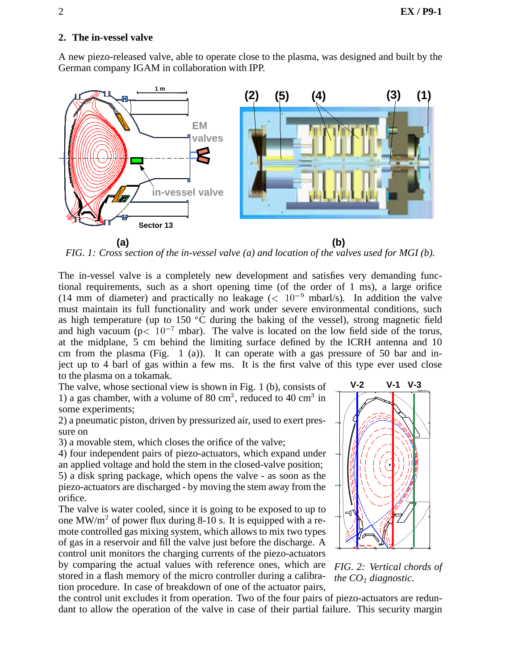## **2. The in-vessel valve**

A new piezo-released valve, able to operate close to the plasma, was designed and built by the German company IGAM in collaboration with IPP.



*FIG. 1: Cross section of the in-vessel valve (a) and location of the valves used for MGI (b).*

The in-vessel valve is a completely new development and satisfies very demanding functional requirements, such as a short opening time (of the order of 1 ms), a large orifice (14 mm of diameter) and practically no leakage ( $< 10^{-9}$  mbarl/s). In addition the valve must maintain its full functionality and work under severe environmental conditions, such as high temperature (up to 150  $\mathrm{^{\circ}C}$  during the baking of the vessel), strong magnetic field and high vacuum ( $p < 10^{-7}$  mbar). The valve is located on the low field side of the torus, at the midplane, 5 cm behind the limiting surface defined by the ICRH antenna and 10 cm from the plasma (Fig.  $1$  (a)). It can operate with a gas pressure of 50 bar and inject up to 4 barl of gas within a few ms. It is the first valve of this type ever used close to the plasma on a tokamak.

The valve, whose sectional view is shown in Fig. 1 (b), consists of 1) a gas chamber, with a volume of 80 cm<sup>3</sup>, reduced to 40 cm<sup>3</sup> in some experiments;

2) a pneumatic piston, driven by pressurized air, used to exert pressure on

3) a movable stem, which closes the orifice of the valve;

4) four independent pairs of piezo-actuators, which expand under an applied voltage and hold the stem in the closed-valve position; 5) a disk spring package, which opens the valve - as soon as the piezo-actuators are discharged - by moving the stem away from the

orifice. The valve is water cooled, since it is going to be exposed to up to

one MW/m<sup>2</sup> of power flux during 8-10 s. It is equipped with a remote controlled gas mixing system, which allows to mix two types of gas in a reservoir and fill the valve just before the discharge. A control unit monitors the charging currents of the piezo-actuators

by comparing the actual values with reference ones, which are stored in a flash memory of the micro controller during a calibration procedure. In case of breakdown of one of the actuator pairs,



*FIG. 2: Vertical chords of the CO*<sup>2</sup> *diagnostic.*

the control unit excludes it from operation. Two of the four pairs of piezo-actuators are redundant to allow the operation of the valve in case of their partial failure. This security margin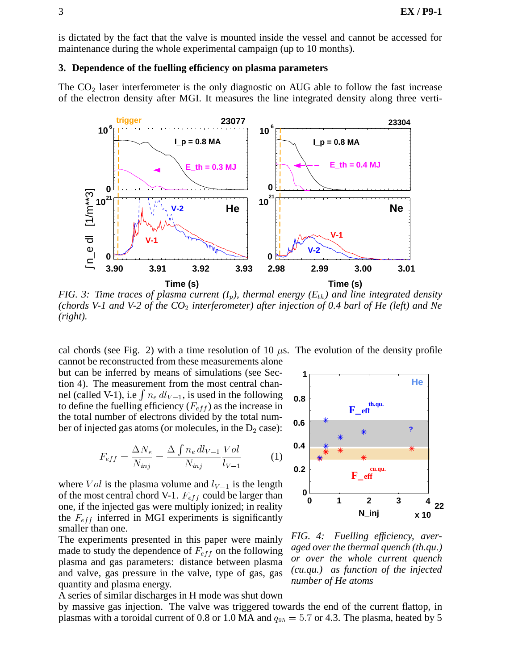is dictated by the fact that the valve is mounted inside the vessel and cannot be accessed for maintenance during the whole experimental campaign (up to 10 months).

#### **3. Dependence of the fuelling efficiency on plasma parameters**

The  $CO<sub>2</sub>$  laser interferometer is the only diagnostic on AUG able to follow the fast increase of the electron density after MGI. It measures the line integrated density along three verti-



*FIG.* 3: Time traces of plasma current  $(I_p)$ , thermal energy  $(E_{th})$  and line integrated density *(chords V-1 and V-2 of the CO*<sup>2</sup> *interferometer) after injection of 0.4 barl of He (left) and Ne (right).*

cal chords (see Fig. 2) with a time resolution of 10  $\mu$ s. The evolution of the density profile cannot be reconstructed from these measurements alone but can be inferred by means of simulations (see Section 4). The measurement from the most central channel (called V-1), i.e  $\int n_e dl_{V-1}$ , is used in the following to define the fuelling efficiency  $(F_{eff})$  as the increase in the total number of electrons divided by the total number of injected gas atoms (or molecules, in the  $D_2$  case):

$$
F_{eff} = \frac{\Delta N_e}{N_{inj}} = \frac{\Delta \int n_e \, dl_{V-1}}{N_{inj}} \frac{Vol}{l_{V-1}}
$$
(1)

where  $Vol$  is the plasma volume and  $l_{V-1}$  is the length of the most central chord V-1.  $F_{eff}$  could be larger than one, if the injected gas were multiply ionized; in reality the  $F_{eff}$  inferred in MGI experiments is significantly smaller than one.

The experiments presented in this paper were mainly made to study the dependence of  $F_{eff}$  on the following plasma and gas parameters: distance between plasma and valve, gas pressure in the valve, type of gas, gas quantity and plasma energy.

A series of similar discharges in H mode was shut down

by massive gas injection. The valve was triggered towards the end of the current flattop, in plasmas with a toroidal current of 0.8 or 1.0 MA and  $q_{95} = 5.7$  or 4.3. The plasma, heated by 5



*FIG. 4: Fuelling efficiency, averaged over the thermal quench (th.qu.) or over the whole current quench (cu.qu.) as function of the injected number of He atoms*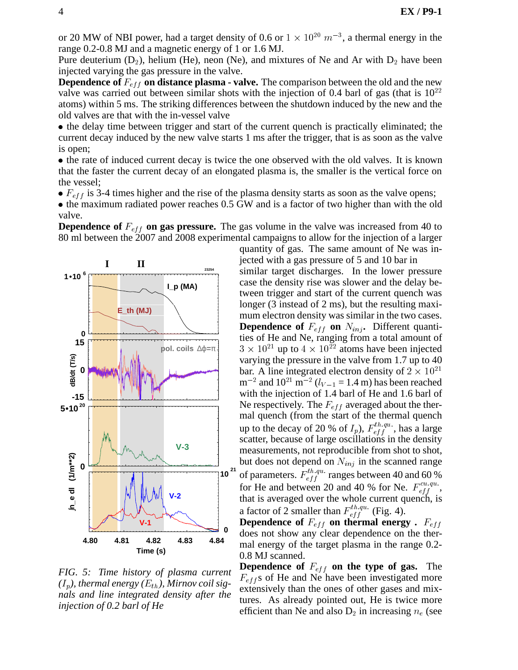or 20 MW of NBI power, had a target density of 0.6 or  $1 \times 10^{20}$   $m^{-3}$ , a thermal energy in the range 0.2-0.8 MJ and a magnetic energy of 1 or 1.6 MJ.

Pure deuterium  $(D_2)$ , helium (He), neon (Ne), and mixtures of Ne and Ar with  $D_2$  have been injected varying the gas pressure in the valve.

**Dependence of**  $F_{eff}$  on distance plasma - valve. The comparison between the old and the new valve was carried out between similar shots with the injection of 0.4 barl of gas (that is  $10^{22}$ ) atoms) within 5 ms. The striking differences between the shutdown induced by the new and the old valves are that with the in-vessel valve

• the delay time between trigger and start of the current quench is practically eliminated; the current decay induced by the new valve starts 1 ms after the trigger, that is as soon as the valve is open;

 the rate of induced current decay is twice the one observed with the old valves. It is known that the faster the current decay of an elongated plasma is, the smaller is the vertical force on the vessel;

 $\bullet$   $F_{eff}$  is 3-4 times higher and the rise of the plasma density starts as soon as the valve opens;

• the maximum radiated power reaches 0.5 GW and is a factor of two higher than with the old valve.

**Dependence of**  $F_{eff}$  on gas pressure. The gas volume in the valve was increased from 40 to 80 ml between the 2007 and 2008 experimental campaigns to allow for the injection of a larger



*FIG. 5: Time history of plasma current*  $(I_p)$ , thermal energy  $(E_{th})$ , Mirnov coil sig*nals and line integrated density after the injection of 0.2 barl of He*

quantity of gas. The same amount of Ne was injected with a gas pressure of 5 and 10 bar in similar target discharges. In the lower pressure case the density rise was slower and the delay between trigger and start of the current quench was longer (3 instead of 2 ms), but the resulting maximum electron density was similar in the two cases. **Dependence of**  $F_{eff}$  on  $N_{inj}$ . Different quantities of He and Ne, ranging from a total amount of  $3 \times 10^{21}$  up to  $4 \times 10^{22}$  atoms have been injected varying the pressure in the valve from 1.7 up to 40 bar. A line integrated electron density of  $2 \times 10^{21}$  $\rm m^{-2}$  and  $\rm 10^{21} \ m^{-2}$  ( $l_{V-1}$  = 1.4 m) has been reached with the injection of 1.4 barl of He and 1.6 barl of Ne respectively. The  $F_{eff}$  averaged about the thermal quench (from the start of the thermal quench up to the decay of 20 % of  $I_p$ ),  $F_{eff}^{tn,qu}$ , has a large scatter, because of large oscillations in the density measurements, not reproducible from shot to shot, but does not depend on  $N_{inj}$  in the scanned range of parameters.  $F_{eff}^{th,qu.}$  ranges between 40 and 60 % for He and between 20 and 40 % for Ne.  $F_{eff}^{cu,qu}$ , that is averaged over the whole current quench, is a factor of 2 smaller than  $F_{eff}^{tn.qu.}$  (Fig. 4).

**Dependence of**  $F_{eff}$  on thermal energy .  $F_{eff}$ does not show any clear dependence on the thermal energy of the target plasma in the range 0.2- 0.8 MJ scanned.

**Dependence of**  $F_{eff}$  on the type of gas. The  $F_{eff}$ s of He and Ne have been investigated more extensively than the ones of other gases and mixtures. As already pointed out, He is twice more efficient than Ne and also  $D_2$  in increasing  $n_e$  (see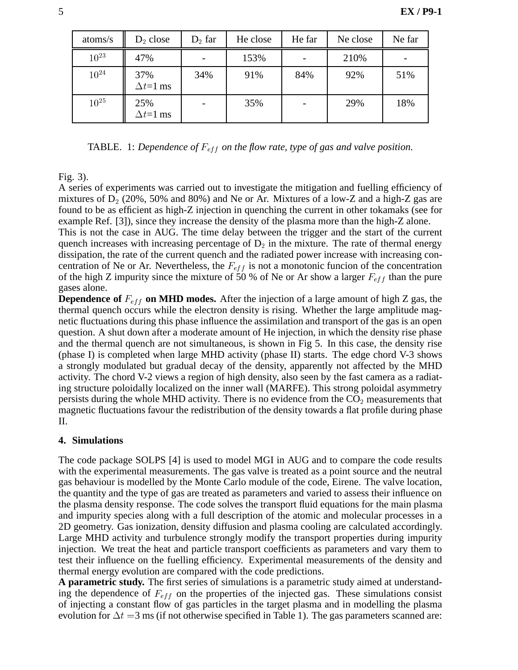| atoms/s   | $D_2$ close              | $D_2$ far | He close | He far | Ne close | Ne far |
|-----------|--------------------------|-----------|----------|--------|----------|--------|
| $10^{23}$ | 47%                      |           | 153%     |        | 210%     |        |
| $10^{24}$ | 37%<br>$\Delta t = 1$ ms | 34%       | 91%      | 84%    | 92%      | 51%    |
| $10^{25}$ | 25%<br>$\Delta t = 1$ ms |           | 35%      |        | 29%      | 18%    |

TABLE. 1: *Dependence of*  $F_{eff}$  *on the flow rate, type of gas and valve position.* 

## Fig. 3).

A series of experiments was carried out to investigate the mitigation and fuelling efficiency of mixtures of  $D_2$  (20%, 50% and 80%) and Ne or Ar. Mixtures of a low-Z and a high-Z gas are found to be as efficient as high-Z injection in quenching the current in other tokamaks (see for example Ref. [3]), since they increase the density of the plasma more than the high-Z alone.

This is not the case in AUG. The time delay between the trigger and the start of the current quench increases with increasing percentage of  $D_2$  in the mixture. The rate of thermal energy dissipation, the rate of the current quench and the radiated power increase with increasing concentration of Ne or Ar. Nevertheless, the  $F_{eff}$  is not a monotonic funcion of the concentration of the high Z impurity since the mixture of 50 % of Ne or Ar show a larger  $F_{eff}$  than the pure gases alone.

**Dependence of**  $F_{eff}$  on MHD modes. After the injection of a large amount of high Z gas, the thermal quench occurs while the electron density is rising. Whether the large amplitude magnetic fluctuations during this phase influence the assimilation and transport of the gas is an open question. A shut down after a moderate amount of He injection, in which the density rise phase and the thermal quench are not simultaneous, is shown in Fig 5. In this case, the density rise (phase I) is completed when large MHD activity (phase II) starts. The edge chord V-3 shows a strongly modulated but gradual decay of the density, apparently not affected by the MHD activity. The chord V-2 views a region of high density, also seen by the fast camera as a radiating structure poloidally localized on the inner wall (MARFE). This strong poloidal asymmetry persists during the whole MHD activity. There is no evidence from the  $CO<sub>2</sub>$  measurements that magnetic fluctuations favour the redistribution of the density towards a flat profile during phase II.

# **4. Simulations**

The code package SOLPS [4] is used to model MGI in AUG and to compare the code results with the experimental measurements. The gas valve is treated as a point source and the neutral gas behaviour is modelled by the Monte Carlo module of the code, Eirene. The valve location, the quantity and the type of gas are treated as parameters and varied to assess their influence on the plasma density response. The code solves the transport fluid equations for the main plasma and impurity species along with a full description of the atomic and molecular processes in a 2D geometry. Gas ionization, density diffusion and plasma cooling are calculated accordingly. Large MHD activity and turbulence strongly modify the transport properties during impurity injection. We treat the heat and particle transport coefficients as parameters and vary them to test their influence on the fuelling efficiency. Experimental measurements of the density and thermal energy evolution are compared with the code predictions.

**A parametric study.** The first series of simulations is a parametric study aimed at understanding the dependence of  $F_{eff}$  on the properties of the injected gas. These simulations consist of injecting a constant flow of gas particles in the target plasma and in modelling the plasma evolution for  $\Delta t = 3$  ms (if not otherwise specified in Table 1). The gas parameters scanned are: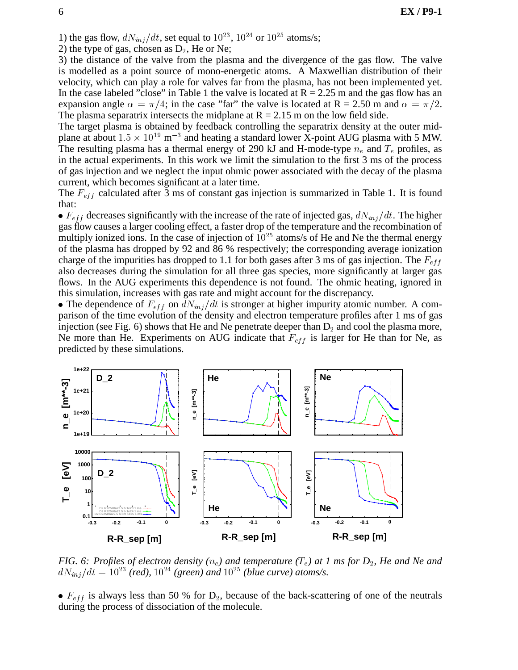1) the gas flow,  $dN_{inj}/dt$ , set equal to  $10^{23}$ ,  $10^{24}$  or  $10^{25}$  atoms/s;

2) the type of gas, chosen as  $D_2$ , He or Ne;

3) the distance of the valve from the plasma and the divergence of the gas flow. The valve is modelled as a point source of mono-energetic atoms. A Maxwellian distribution of their velocity, which can play a role for valves far from the plasma, has not been implemented yet. In the case labeled "close" in Table 1 the valve is located at  $R = 2.25$  m and the gas flow has an expansion angle  $\alpha = \pi/4$ ; in the case "far" the valve is located at R = 2.50 m and  $\alpha = \pi/2$ . The plasma separatrix intersects the midplane at  $R = 2.15$  m on the low field side.

The target plasma is obtained by feedback controlling the separatrix density at the outer midplane at about  $1.5 \times 10^{19}$  m<sup>-3</sup> and heating a standard lower X-point AUG plasma with 5 MW. The resulting plasma has a thermal energy of 290 kJ and H-mode-type  $n_e$  and  $T_e$  profiles, as in the actual experiments. In this work we limit the simulation to the first 3 ms of the process of gas injection and we neglect the input ohmic power associated with the decay of the plasma current, which becomes significant at a later time.

The  $F_{eff}$  calculated after 3 ms of constant gas injection is summarized in Table 1. It is found that:

 $\bullet$   $F_{eff}$  decreases significantly with the increase of the rate of injected gas,  $dN_{inj}/dt$ . The higher gas flow causes a larger cooling effect, a faster drop of the temperature and the recombination of multiply ionized ions. In the case of injection of  $10^{25}$  atoms/s of He and Ne the thermal energy of the plasma has dropped by 92 and 86 % respectively; the corresponding average ionization charge of the impurities has dropped to 1.1 for both gases after 3 ms of gas injection. The  $F_{eff}$ also decreases during the simulation for all three gas species, more significantly at larger gas flows. In the AUG experiments this dependence is not found. The ohmic heating, ignored in this simulation, increases with gas rate and might account for the discrepancy.

• The dependence of  $F_{eff}$  on  $dN_{inj}/dt$  is stronger at higher impurity atomic number. A comparison of the time evolution of the density and electron temperature profiles after 1 ms of gas injection (see Fig. 6) shows that He and Ne penetrate deeper than  $D_2$  and cool the plasma more, Ne more than He. Experiments on AUG indicate that  $F_{eff}$  is larger for He than for Ne, as predicted by these simulations.



*FIG. 6: Profiles of electron density*  $(n_e)$  and temperature  $(T_e)$  at 1 ms for  $D_2$ , He and Ne and  $dN_{inj}/dt = 10^{23}$  *(red),*  $10^{24}$  *(green) and*  $10^{25}$  *(blue curve) atoms/s.* 

•  $F_{eff}$  is always less than 50 % for  $D_2$ , because of the back-scattering of one of the neutrals during the process of dissociation of the molecule.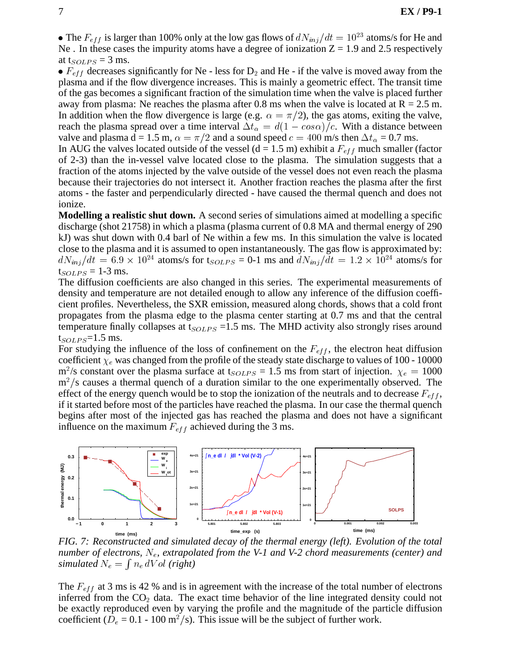• The  $F_{eff}$  is larger than 100% only at the low gas flows of  $dN_{inj}/dt = 10^{23}$  atoms/s for He and Ne . In these cases the impurity atoms have a degree of ionization  $Z = 1.9$  and 2.5 respectively at t<sub>SOLPS</sub> = 3 ms.

•  $F_{eff}$  decreases significantly for Ne - less for  $D_2$  and He - if the valve is moved away from the plasma and if the flow divergence increases. This is mainly a geometric effect. The transit time of the gas becomes a significant fraction of the simulation time when the valve is placed further away from plasma: Ne reaches the plasma after 0.8 ms when the valve is located at  $R = 2.5$  m. In addition when the flow divergence is large (e.g.  $\alpha = \pi/2$ ), the gas atoms, exiting the valve, reach the plasma spread over a time interval  $\Delta t_{\alpha} = d(1 - \cos \alpha)/c$ . With a distance between valve and plasma d = 1.5 m,  $\alpha = \pi/2$  and a sound speed  $c = 400$  m/s then  $\Delta t_{\alpha} = 0.7$  ms.

In AUG the valves located outside of the vessel (d = 1.5 m) exhibit a  $F_{eff}$  much smaller (factor of 2-3) than the in-vessel valve located close to the plasma. The simulation suggests that a fraction of the atoms injected by the valve outside of the vessel does not even reach the plasma because their trajectories do not intersect it. Another fraction reaches the plasma after the first atoms - the faster and perpendicularly directed - have caused the thermal quench and does not ionize.

**Modelling a realistic shut down.** A second series of simulations aimed at modelling a specific discharge (shot 21758) in which a plasma (plasma current of 0.8 MA and thermal energy of 290 kJ) was shut down with 0.4 barl of Ne within a few ms. In this simulation the valve is located close to the plasma and it is assumed to open instantaneously. The gas flow is approximated by:  $dN_{inj}/dt = 6.9 \times 10^{24}$  atoms/s for  $t_{SOLPS} = 0$ -1 ms and  $dN_{inj}/dt = 1.2 \times 10^{24}$  atoms/s for  $t_{SOLPS} = 1-3$  ms.

The diffusion coefficients are also changed in this series. The experimental measurements of density and temperature are not detailed enough to allow any inference of the diffusion coefficient profiles. Nevertheless, the SXR emission, measured along chords, shows that a cold front propagates from the plasma edge to the plasma center starting at 0.7 ms and that the central temperature finally collapses at  $t_{SOLPS} = 1.5$  ms. The MHD activity also strongly rises around  $t_{SOLPS}=1.5$  ms.

For studying the influence of the loss of confinement on the  $F_{eff}$ , the electron heat diffusion coefficient  $\chi_e$  was changed from the profile of the steady state discharge to values of 100 - 10000  $\rm m^2/s$  constant over the plasma surface at t<sub>SOLPS</sub> = 1.5 ms from start of injection.  $\chi_e = 1000$  $m^2$ /s causes a thermal quench of a duration similar to the one experimentally observed. The effect of the energy quench would be to stop the ionization of the neutrals and to decrease  $F_{eff}$ , if it started before most of the particles have reached the plasma. In our case the thermal quench begins after most of the injected gas has reached the plasma and does not have a significant influence on the maximum  $F_{eff}$  achieved during the 3 ms.



*FIG. 7: Reconstructed and simulated decay of the thermal energy (left). Evolution of the total number of electrons,* N<sub>e</sub>, extrapolated from the V-1 and V-2 chord measurements (center) and *simulated*  $N_e = \int n_e dVol$  (right)

The  $F_{eff}$  at 3 ms is 42 % and is in agreement with the increase of the total number of electrons inferred from the  $CO<sub>2</sub>$  data. The exact time behavior of the line integrated density could not be exactly reproduced even by varying the profile and the magnitude of the particle diffusion coefficient ( $D_e = 0.1 - 100$  m<sup>2</sup>/s). This issue will be the subject of further work.